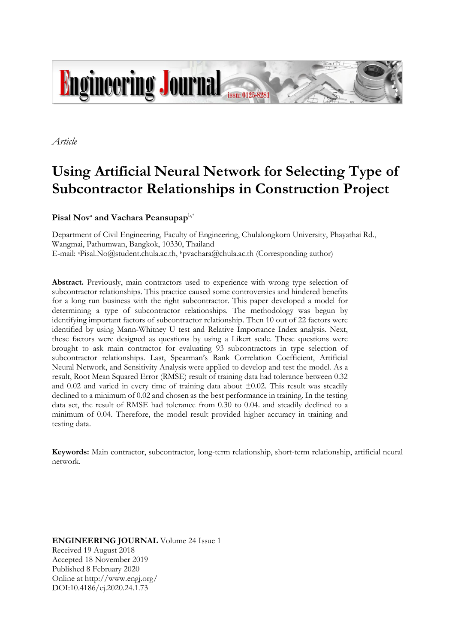

*Article*

# **Using Artificial Neural Network for Selecting Type of Subcontractor Relationships in Construction Project**

# $\mathbf{Pisal}~\mathbf{Nov}^{\scriptscriptstyle \text{a}}$  and  $\mathbf{Vachara}~\mathbf{Peansup}$ aphy

Department of Civil Engineering, Faculty of Engineering, Chulalongkorn University, Phayathai Rd., Wangmai, Pathumwan, Bangkok, 10330, Thailand E-mail: aPisal.No@student.chula.ac.th, <sup>b</sup>pvachara@chula.ac.th (Corresponding author)

**Abstract.** Previously, main contractors used to experience with wrong type selection of subcontractor relationships. This practice caused some controversies and hindered benefits for a long run business with the right subcontractor. This paper developed a model for determining a type of subcontractor relationships. The methodology was begun by identifying important factors of subcontractor relationship. Then 10 out of 22 factors were identified by using Mann-Whitney U test and Relative Importance Index analysis. Next, these factors were designed as questions by using a Likert scale. These questions were brought to ask main contractor for evaluating 93 subcontractors in type selection of subcontractor relationships. Last, Spearman's Rank Correlation Coefficient, Artificial Neural Network, and Sensitivity Analysis were applied to develop and test the model. As a result, Root Mean Squared Error (RMSE) result of training data had tolerance between 0.32 and 0.02 and varied in every time of training data about  $\pm 0.02$ . This result was steadily declined to a minimum of 0.02 and chosen as the best performance in training. In the testing data set, the result of RMSE had tolerance from 0.30 to 0.04. and steadily declined to a minimum of 0.04. Therefore, the model result provided higher accuracy in training and testing data.

**Keywords:** Main contractor, subcontractor, long-term relationship, short-term relationship, artificial neural network.

**ENGINEERING JOURNAL** Volume 24 Issue 1 Received 19 August 2018 Accepted 18 November 2019 Published 8 February 2020 Online at http://www.engj.org/ DOI:10.4186/ej.2020.24.1.73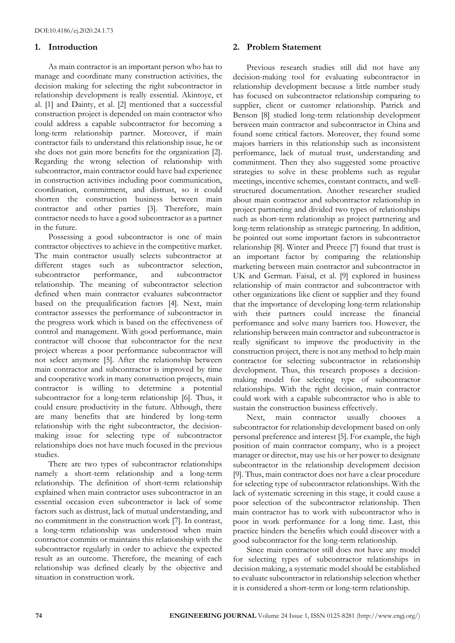## **1. Introduction**

As main contractor is an important person who has to manage and coordinate many construction activities, the decision making for selecting the right subcontractor in relationship development is really essential. Akintoye, et al. [1] and Dainty, et al. [2] mentioned that a successful construction project is depended on main contractor who could address a capable subcontractor for becoming a long-term relationship partner. Moreover, if main contractor fails to understand this relationship issue, he or she does not gain more benefits for the organization [2]. Regarding the wrong selection of relationship with subcontractor, main contractor could have bad experience in construction activities including poor communication, coordination, commitment, and distrust, so it could shorten the construction business between main contractor and other parties [3]. Therefore, main contractor needs to have a good subcontractor as a partner in the future.

Possessing a good subcontractor is one of main contractor objectives to achieve in the competitive market. The main contractor usually selects subcontractor at different stages such as subcontractor selection, subcontractor performance, and subcontractor relationship. The meaning of subcontractor selection defined when main contractor evaluates subcontractor based on the prequalification factors [4]. Next, main contractor assesses the performance of subcontractor in the progress work which is based on the effectiveness of control and management. With good performance, main contractor will choose that subcontractor for the next project whereas a poor performance subcontractor will not select anymore [5]. After the relationship between main contractor and subcontractor is improved by time and cooperative work in many construction projects, main contractor is willing to determine a potential subcontractor for a long-term relationship [6]. Thus, it could ensure productivity in the future. Although, there are many benefits that are hindered by long-term relationship with the right subcontractor, the decisionmaking issue for selecting type of subcontractor relationships does not have much focused in the previous studies.

There are two types of subcontractor relationships namely a short-term relationship and a long-term relationship. The definition of short-term relationship explained when main contractor uses subcontractor in an essential occasion even subcontractor is lack of some factors such as distrust, lack of mutual understanding, and no commitment in the construction work [7]. In contrast, a long-term relationship was understood when main contractor commits or maintains this relationship with the subcontractor regularly in order to achieve the expected result as an outcome. Therefore, the meaning of each relationship was defined clearly by the objective and situation in construction work.

## **2. Problem Statement**

Previous research studies still did not have any decision-making tool for evaluating subcontractor in relationship development because a little number study has focused on subcontractor relationship comparing to supplier, client or customer relationship. Patrick and Benson [8] studied long-term relationship development between main contractor and subcontractor in China and found some critical factors. Moreover, they found some majors barriers in this relationship such as inconsistent performance, lack of mutual trust, understanding and commitment. Then they also suggested some proactive strategies to solve in these problems such as regular meetings, incentive schemes, constant contracts, and wellstructured documentation. Another researcher studied about main contractor and subcontractor relationship in project partnering and divided two types of relationships such as short-term relationship as project partnering and long-term relationship as strategic partnering. In addition, he pointed out some important factors in subcontractor relationship [8]. Winter and Preece [7] found that trust is an important factor by comparing the relationship marketing between main contractor and subcontractor in UK and German. Faisal, et al. [9] explored in business relationship of main contractor and subcontractor with other organizations like client or supplier and they found that the importance of developing long-term relationship with their partners could increase the financial performance and solve many barriers too. However, the relationship between main contractor and subcontractor is really significant to improve the productivity in the construction project, there is not any method to help main contractor for selecting subcontractor in relationship development. Thus, this research proposes a decisionmaking model for selecting type of subcontractor relationships. With the right decision, main contractor could work with a capable subcontractor who is able to sustain the construction business effectively.

Next, main contractor usually chooses a subcontractor for relationship development based on only personal preference and interest [5]. For example, the high position of main contractor company, who is a project manager or director, may use his or her power to designate subcontractor in the relationship development decision [9]. Thus, main contractor does not have a clear procedure for selecting type of subcontractor relationships. With the lack of systematic screening in this stage, it could cause a poor selection of the subcontractor relationship. Then main contractor has to work with subcontractor who is poor in work performance for a long time. Last, this practice hinders the benefits which could discover with a good subcontractor for the long-term relationship.

Since main contractor still does not have any model for selecting types of subcontractor relationships in decision making, a systematic model should be established to evaluate subcontractor in relationship selection whether it is considered a short-term or long-term relationship.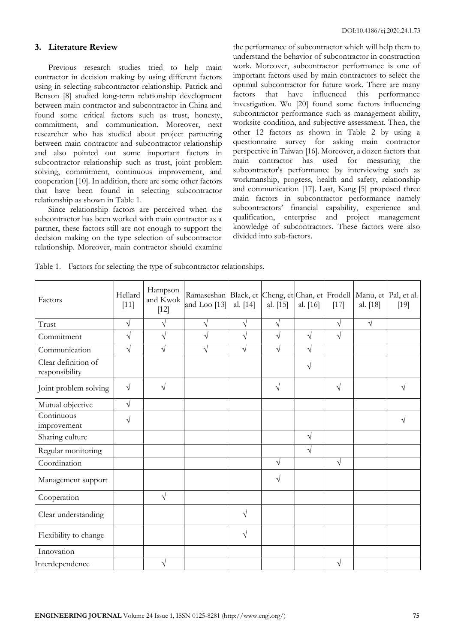## **3. Literature Review**

Previous research studies tried to help main contractor in decision making by using different factors using in selecting subcontractor relationship. Patrick and Benson [8] studied long-term relationship development between main contractor and subcontractor in China and found some critical factors such as trust, honesty, commitment, and communication. Moreover, next researcher who has studied about project partnering between main contractor and subcontractor relationship and also pointed out some important factors in subcontractor relationship such as trust, joint problem solving, commitment, continuous improvement, and cooperation [10]. In addition, there are some other factors that have been found in selecting subcontractor relationship as shown in Table 1.

Since relationship factors are perceived when the subcontractor has been worked with main contractor as a partner, these factors still are not enough to support the decision making on the type selection of subcontractor relationship. Moreover, main contractor should examine

the performance of subcontractor which will help them to understand the behavior of subcontractor in construction work. Moreover, subcontractor performance is one of important factors used by main contractors to select the optimal subcontractor for future work. There are many factors that have influenced this performance investigation. Wu [20] found some factors influencing subcontractor performance such as management ability, worksite condition, and subjective assessment. Then, the other 12 factors as shown in Table 2 by using a questionnaire survey for asking main contractor perspective in Taiwan [16]. Moreover, a dozen factors that main contractor has used for measuring the subcontractor's performance by interviewing such as workmanship, progress, health and safety, relationship and communication [17]. Last, Kang [5] proposed three main factors in subcontractor performance namely subcontractors' financial capability, experience and qualification, enterprise and project management knowledge of subcontractors. These factors were also divided into sub-factors.

Table 1. Factors for selecting the type of subcontractor relationships.

| Factors                               | Hampson<br>Hellard<br>and Kwok<br>$[11]$<br>$[12]$ |            | Ramaseshan Black, et Cheng, et Chan, et Frodell Manu, et Pal, et al.<br>and Loo $[13]$ | al. [14]   | al. [15]  | al. [16]  | $[17]$     | al. [18]  | $[19]$ |
|---------------------------------------|----------------------------------------------------|------------|----------------------------------------------------------------------------------------|------------|-----------|-----------|------------|-----------|--------|
| Trust                                 | $\sqrt{ }$                                         | $\sqrt{}$  | $\sqrt{}$                                                                              | $\sqrt{}$  | $\sqrt{}$ |           | $\sqrt{}$  | $\sqrt{}$ |        |
| Commitment                            | $\sqrt{}$                                          | $\sqrt{}$  | $\sqrt{ }$                                                                             | $\sqrt{}$  | $\sqrt{}$ | $\sqrt{}$ | $\sqrt{ }$ |           |        |
| Communication                         | $\sqrt{}$                                          | $\sqrt{}$  | $\sqrt{}$                                                                              | $\sqrt{}$  | $\sqrt{}$ | $\sqrt{}$ |            |           |        |
| Clear definition of<br>responsibility |                                                    |            |                                                                                        |            |           | $\sqrt{}$ |            |           |        |
| Joint problem solving                 | $\sqrt{}$                                          | $\sqrt{}$  |                                                                                        |            | $\sqrt{}$ |           | $\sqrt{ }$ |           | V      |
| Mutual objective                      | $\sqrt{ }$                                         |            |                                                                                        |            |           |           |            |           |        |
| Continuous<br>improvement             | $\sqrt{}$                                          |            |                                                                                        |            |           |           |            |           | V      |
| Sharing culture                       |                                                    |            |                                                                                        |            |           | V         |            |           |        |
| Regular monitoring                    |                                                    |            |                                                                                        |            |           | $\sqrt{}$ |            |           |        |
| Coordination                          |                                                    |            |                                                                                        |            | $\sqrt{}$ |           | $\sqrt{}$  |           |        |
| Management support                    |                                                    |            |                                                                                        |            | V         |           |            |           |        |
| Cooperation                           |                                                    | $\sqrt{ }$ |                                                                                        |            |           |           |            |           |        |
| Clear understanding                   |                                                    |            |                                                                                        | $\sqrt{ }$ |           |           |            |           |        |
| Flexibility to change                 |                                                    |            |                                                                                        | $\sqrt{ }$ |           |           |            |           |        |
| Innovation                            |                                                    |            |                                                                                        |            |           |           |            |           |        |
| Interdependence                       |                                                    | V          |                                                                                        |            |           |           | $\sqrt{}$  |           |        |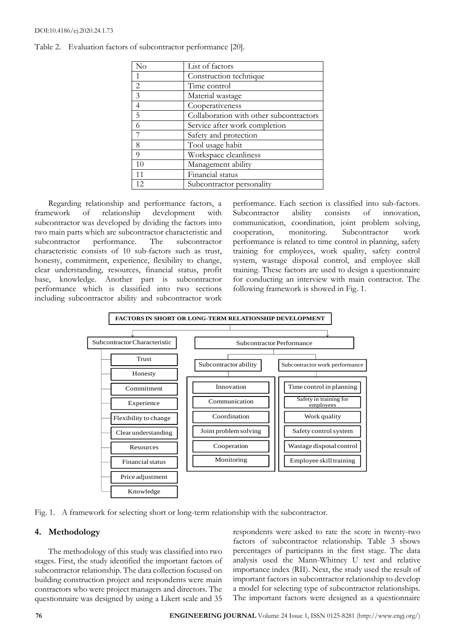#### DOI:10.4186/ej.2020.24.1.73

| No             | List of factors                         |
|----------------|-----------------------------------------|
|                | Construction technique                  |
| $\overline{2}$ | Time control                            |
| $\overline{3}$ | Material wastage                        |
| $\overline{4}$ | Cooperativeness                         |
| $\overline{5}$ | Collaboration with other subcontractors |
| 6              | Service after work completion           |
| 7              | Safety and protection                   |
| 8              | Tool usage habit                        |
| 9              | Workspace cleanliness                   |
| 10             | Management ability                      |
| 11             | Financial status                        |
| 12.            | Subcontractor personality               |

Table 2. Evaluation factors of subcontractor performance [20].

Regarding relationship and performance factors, a framework of relationship development with subcontractor was developed by dividing the factors into two main parts which are subcontractor characteristic and subcontractor performance. The subcontractor characteristic consists of 10 sub-factors such as trust, honesty, commitment, experience, flexibility to change, clear understanding, resources, financial status, profit base, knowledge. Another part is subcontractor performance which is classified into two sections including subcontractor ability and subcontractor work performance. Each section is classified into sub-factors. Subcontractor ability consists of innovation, communication, coordination, joint problem solving, cooperation, monitoring. Subcontractor work performance is related to time control in planning, safety training for employees, work quality, safety control system, wastage disposal control, and employee skill training. These factors are used to design a questionnaire for conducting an interview with main contractor. The following framework is showed in Fig. 1.



Fig. 1. A framework for selecting short or long-term relationship with the subcontractor.

# **4. Methodology**

The methodology of this study was classified into two stages. First, the study identified the important factors of subcontractor relationship. The data collection focused on building construction project and respondents were main contractors who were project managers and directors. The questionnaire was designed by using a Likert scale and 35 respondents were asked to rate the score in twenty-two factors of subcontractor relationship. Table 3 shows percentages of participants in the first stage. The data analysis used the Mann-Whitney U test and relative importance index (RII). Next, the study used the result of important factors in subcontractor relationship to develop a model for selecting type of subcontractor relationships.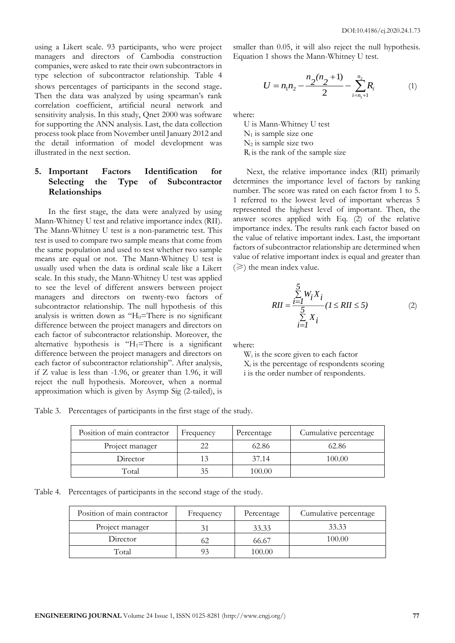using a Likert scale. 93 participants, who were project managers and directors of Cambodia construction companies, were asked to rate their own subcontractors in type selection of subcontractor relationship. Table 4 shows percentages of participants in the second stage. Then the data was analyzed by using spearman's rank correlation coefficient, artificial neural network and sensitivity analysis. In this study, Qnet 2000 was software for supporting the ANN analysis. Last, the data collection process took place from November until January 2012 and the detail information of model development was illustrated in the next section.

# **5. Important Factors Identification for Selecting the Type of Subcontractor Relationships**

In the first stage, the data were analyzed by using Mann-Whitney U test and relative importance index (RII). The Mann-Whitney U test is a non-parametric test. This test is used to compare two sample means that come from the same population and used to test whether two sample means are equal or not. The Mann-Whitney U test is usually used when the data is ordinal scale like a Likert scale. In this study, the Mann-Whitney U test was applied to see the level of different answers between project managers and directors on twenty-two factors of subcontractor relationship. The null hypothesis of this analysis is written down as " $H_0$ =There is no significant difference between the project managers and directors on each factor of subcontractor relationship. Moreover, the alternative hypothesis is " $H_1$ =There is a significant difference between the project managers and directors on each factor of subcontractor relationship". After analysis, if Z value is less than -1.96, or greater than 1.96, it will reject the null hypothesis. Moreover, when a normal approximation which is given by Asymp Sig (2-tailed), is smaller than 0.05, it will also reject the null hypothesis. Equation 1 shows the Mann-Whitney U test.

$$
U = n_1 n_2 - \frac{n_2(n_2 + 1)}{2} - \sum_{i=n_1+1}^{n_2} R_i
$$
 (1)

where:

U is Mann-Whitney U test  $N_1$  is sample size one  $N_2$  is sample size two  $R_i$  is the rank of the sample size

Next, the relative importance index (RII) primarily determines the importance level of factors by ranking number. The score was rated on each factor from 1 to 5. 1 referred to the lowest level of important whereas 5 represented the highest level of important. Then, the answer scores applied with Eq. (2) of the relative importance index. The results rank each factor based on the value of relative important index. Last, the important factors of subcontractor relationship are determined when value of relative important index is equal and greater than  $(\geq)$  the mean index value.

$$
RII = \frac{\sum_{i=1}^{5} W_i X_i}{\sum_{i=1}^{5} X_i} (1 \leq RII \leq 5)
$$
 (2)

where:

W<sub>i</sub> is the score given to each factor  $X_i$  is the percentage of respondents scoring i is the order number of respondents.

Table 3. Percentages of participants in the first stage of the study.

| Position of main contractor | Frequency | Percentage | Cumulative percentage |
|-----------------------------|-----------|------------|-----------------------|
| Project manager             |           | 62.86      | 62.86                 |
| Director                    |           | 37.14      | 100.00                |
| Total                       | 35        | 100.00     |                       |

Table 4. Percentages of participants in the second stage of the study.

| Position of main contractor | Frequency | Percentage | Cumulative percentage |
|-----------------------------|-----------|------------|-----------------------|
| Project manager             |           | 33.33      | 33.33                 |
| Director                    |           | 66.67      | 100.00                |
| Total                       |           | 100.00     |                       |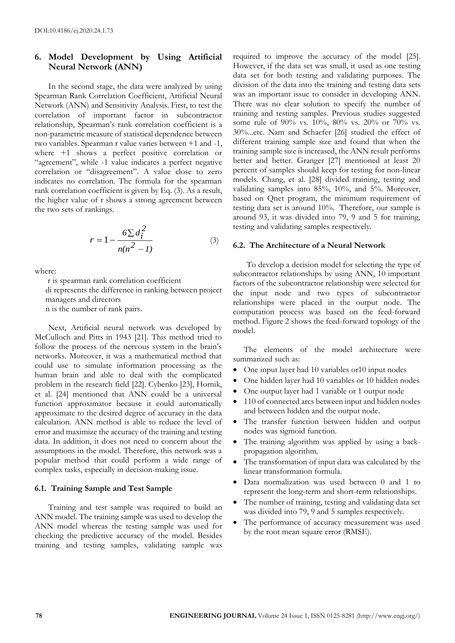# **6. Model Development by Using Artificial Neural Network (ANN)**

In the second stage, the data were analyzed by using Spearman Rank Correlation Coefficient, Artificial Neural Network (ANN) and Sensitivity Analysis. First, to test the correlation of important factor in subcontractor relationship, Spearman's rank correlation coefficient is a non-parametric measure of statistical dependence between two variables. Spearman r value varies between +1 and -1, where +1 shows a perfect positive correlation or "agreement", while -1 value indicates a perfect negative correlation or "disagreement". A value close to zero indicates no correlation. The formula for the spearman rank correlation coefficient is given by Eq. (3). As a result, the higher value of r shows a strong agreement between the two sets of rankings.

$$
r = 1 - \frac{6 \sum d_i^2}{n(n^2 - 1)}
$$
 (3)

where:

r is spearman rank correlation coefficient di represents the difference in ranking between project

managers and directors

n is the number of rank pairs.

Next, Artificial neural network was developed by McCulloch and Pitts in 1943 [21]. This method tried to follow the process of the nervous system in the brain's networks. Moreover, it was a mathematical method that could use to simulate information processing as the human brain and able to deal with the complicated problem in the research field [22]. Cybenko [23], Hornik, et al. [24] mentioned that ANN could be a universal function approximator because it could automatically approximate to the desired degree of accuracy in the data calculation. ANN method is able to reduce the level of error and maximize the accuracy of the training and testing data. In addition, it does not need to concern about the assumptions in the model. Therefore, this network was a popular method that could perform a wide range of complex tasks, especially in decision-making issue.

#### **6.1. Training Sample and Test Sample**

Training and test sample was required to build an ANN model. The training sample was used to develop the ANN model whereas the testing sample was used for checking the predictive accuracy of the model. Besides training and testing samples, validating sample was

required to improve the accuracy of the model [25]. However, if the data set was small, it used as one testing data set for both testing and validating purposes. The division of the data into the training and testing data sets was an important issue to consider in developing ANN. There was no clear solution to specify the number of training and testing samples. Previous studies suggested some rule of 90% vs. 10%, 80% vs. 20% or 70% vs. 30%...etc. Nam and Schaefer [26] studied the effect of different training sample size and found that when the training sample size is increased, the ANN result performs better and better. Granger [27] mentioned at least 20 percent of samples should keep for testing for non-linear models. Chang, et al. [28] divided training, testing and validating samples into 85%, 10%, and 5%. Moreover, based on Qnet program, the minimum requirement of testing data set is around 10%. Therefore, our sample is around 93, it was divided into 79, 9 and 5 for training, testing and validating samples respectively.

#### **6.2. The Architecture of a Neural Network**

To develop a decision model for selecting the type of subcontractor relationships by using ANN, 10 important factors of the subcontractor relationship were selected for the input node and two types of subcontractor relationships were placed in the output node. The computation process was based on the feed-forward method. Figure 2 shows the feed-forward topology of the model.

The elements of the model architecture were summarized such as:

- One input layer had 10 variables or10 input nodes
- One hidden layer had 10 variables or 10 hidden nodes
- One output layer had 1 variable or 1 output node
- 110 of connected arcs between input and hidden nodes and between hidden and the output node.
- The transfer function between hidden and output nodes was sigmoid function.
- The training algorithm was applied by using a backpropagation algorithm.
- The transformation of input data was calculated by the linear transformation formula.
- Data normalization was used between 0 and 1 to represent the long-term and short-term relationships.
- The number of training, testing and validating data set was divided into 79, 9 and 5 samples respectively.
- The performance of accuracy measurement was used by the root mean square error (RMSE).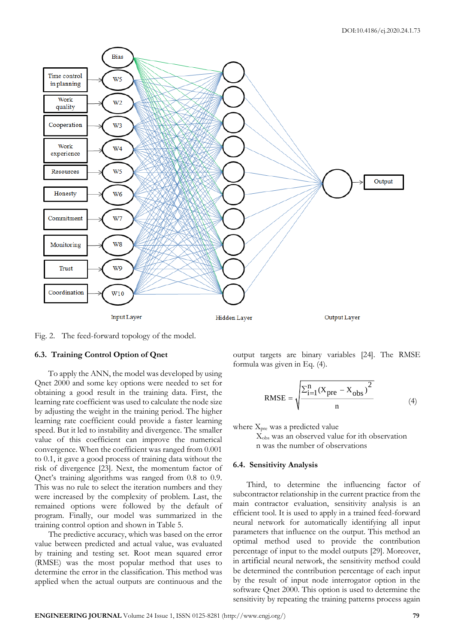

Fig. 2. The feed-forward topology of the model.

## **6.3. Training Control Option of Qnet**

To apply the ANN, the model was developed by using Qnet 2000 and some key options were needed to set for obtaining a good result in the training data. First, the learning rate coefficient was used to calculate the node size by adjusting the weight in the training period. The higher learning rate coefficient could provide a faster learning speed. But it led to instability and divergence. The smaller value of this coefficient can improve the numerical convergence. When the coefficient was ranged from 0.001 to 0.1, it gave a good process of training data without the risk of divergence [23]. Next, the momentum factor of Qnet's training algorithms was ranged from 0.8 to 0.9. This was no rule to select the iteration numbers and they were increased by the complexity of problem. Last, the remained options were followed by the default of program. Finally, our model was summarized in the training control option and shown in Table 5.

The predictive accuracy, which was based on the error value between predicted and actual value, was evaluated by training and testing set. Root mean squared error (RMSE) was the most popular method that uses to determine the error in the classification. This method was applied when the actual outputs are continuous and the

output targets are binary variables [24]. The RMSE formula was given in Eq. (4).

RMSE = 
$$
\sqrt{\frac{\sum_{i=1}^{n} (X_{pre} - X_{obs})^2}{n}}
$$
 (4)

where  $X_{pre}$  was a predicted value

 Xobs was an observed value for ith observation n was the number of observations

#### **6.4. Sensitivity Analysis**

Third, to determine the influencing factor of subcontractor relationship in the current practice from the main contractor evaluation, sensitivity analysis is an efficient tool. It is used to apply in a trained feed-forward neural network for automatically identifying all input parameters that influence on the output. This method an optimal method used to provide the contribution percentage of input to the model outputs [29]. Moreover, in artificial neural network, the sensitivity method could be determined the contribution percentage of each input by the result of input node interrogator option in the software Qnet 2000. This option is used to determine the sensitivity by repeating the training patterns process again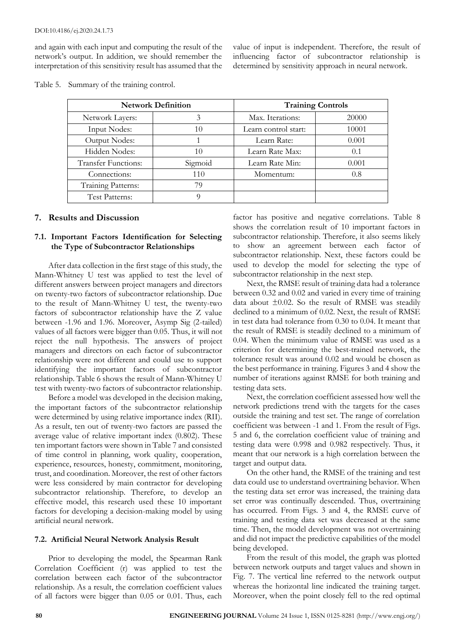and again with each input and computing the result of the network's output. In addition, we should remember the interpretation of this sensitivity result has assumed that the

value of input is independent. Therefore, the result of influencing factor of subcontractor relationship is determined by sensitivity approach in neural network.

|                            | <b>Network Definition</b> | <b>Training Controls</b> |       |  |  |  |
|----------------------------|---------------------------|--------------------------|-------|--|--|--|
| Network Layers:            | 3                         | Max. Iterations:         | 20000 |  |  |  |
| <b>Input Nodes:</b>        | 10                        | Learn control start:     | 10001 |  |  |  |
| Output Nodes:              |                           | Learn Rate:              | 0.001 |  |  |  |
| Hidden Nodes:              | 10                        |                          | 0.1   |  |  |  |
| <b>Transfer Functions:</b> | Sigmoid                   | Learn Rate Min:          | 0.001 |  |  |  |
| Connections:               | 110                       | Momentum:                | 0.8   |  |  |  |
| Training Patterns:         | 79                        |                          |       |  |  |  |
| Test Patterns:             |                           |                          |       |  |  |  |

Table 5. Summary of the training control.

## **7. Results and Discussion**

## **7.1. Important Factors Identification for Selecting the Type of Subcontractor Relationships**

After data collection in the first stage of this study, the Mann-Whitney U test was applied to test the level of different answers between project managers and directors on twenty-two factors of subcontractor relationship. Due to the result of Mann-Whitney U test, the twenty-two factors of subcontractor relationship have the Z value between -1.96 and 1.96. Moreover, Asymp Sig (2-tailed) values of all factors were bigger than 0.05. Thus, it will not reject the null hypothesis. The answers of project managers and directors on each factor of subcontractor relationship were not different and could use to support identifying the important factors of subcontractor relationship. Table 6 shows the result of Mann-Whitney U test with twenty-two factors of subcontractor relationship.

Before a model was developed in the decision making, the important factors of the subcontractor relationship were determined by using relative importance index (RII). As a result, ten out of twenty-two factors are passed the average value of relative important index (0.802). These ten important factors were shown in Table 7 and consisted of time control in planning, work quality, cooperation, experience, resources, honesty, commitment, monitoring, trust, and coordination. Moreover, the rest of other factors were less considered by main contractor for developing subcontractor relationship. Therefore, to develop an effective model, this research used these 10 important factors for developing a decision-making model by using artificial neural network.

## **7.2. Artificial Neural Network Analysis Result**

Prior to developing the model, the Spearman Rank Correlation Coefficient (r) was applied to test the correlation between each factor of the subcontractor relationship. As a result, the correlation coefficient values of all factors were bigger than 0.05 or 0.01. Thus, each factor has positive and negative correlations. Table 8 shows the correlation result of 10 important factors in subcontractor relationship. Therefore, it also seems likely to show an agreement between each factor of subcontractor relationship. Next, these factors could be used to develop the model for selecting the type of subcontractor relationship in the next step.

Next, the RMSE result of training data had a tolerance between 0.32 and 0.02 and varied in every time of training data about  $\pm 0.02$ . So the result of RMSE was steadily declined to a minimum of 0.02. Next, the result of RMSE in test data had tolerance from 0.30 to 0.04. It meant that the result of RMSE is steadily declined to a minimum of 0.04. When the minimum value of RMSE was used as a criterion for determining the best-trained network, the tolerance result was around 0.02 and would be chosen as the best performance in training. Figures 3 and 4 show the number of iterations against RMSE for both training and testing data sets.

Next, the correlation coefficient assessed how well the network predictions trend with the targets for the cases outside the training and test set. The range of correlation coefficient was between -1 and 1. From the result of Figs. 5 and 6, the correlation coefficient value of training and testing data were 0.998 and 0.982 respectively. Thus, it meant that our network is a high correlation between the target and output data.

On the other hand, the RMSE of the training and test data could use to understand overtraining behavior. When the testing data set error was increased, the training data set error was continually descended. Thus, overtraining has occurred. From Figs. 3 and 4, the RMSE curve of training and testing data set was decreased at the same time. Then, the model development was not overtraining and did not impact the predictive capabilities of the model being developed.

From the result of this model, the graph was plotted between network outputs and target values and shown in Fig. 7. The vertical line referred to the network output whereas the horizontal line indicated the training target. Moreover, when the point closely fell to the red optimal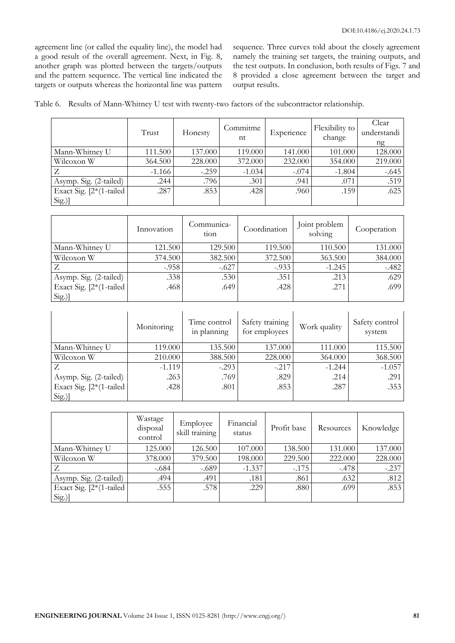agreement line (or called the equality line), the model had a good result of the overall agreement. Next, in Fig. 8, another graph was plotted between the targets/outputs and the pattern sequence. The vertical line indicated the targets or outputs whereas the horizontal line was pattern sequence. Three curves told about the closely agreement namely the training set targets, the training outputs, and the test outputs. In conclusion, both results of Figs. 7 and 8 provided a close agreement between the target and output results.

| Table 6. Results of Mann-Whitney U test with twenty-two factors of the subcontractor relationship. |  |  |  |  |  |
|----------------------------------------------------------------------------------------------------|--|--|--|--|--|
|                                                                                                    |  |  |  |  |  |

|                             | Trust    | Honesty | Commitme<br>nt | Experience | Flexibility to<br>change | Clear<br>understandi<br>ng |
|-----------------------------|----------|---------|----------------|------------|--------------------------|----------------------------|
| Mann-Whitney U              | 111.500  | 137.000 | 119.000        | 141.000    | 101.000                  | 128.000                    |
| Wilcoxon W                  | 364.500  | 228.000 | 372.000        | 232.000    | 354.000                  | 219.000                    |
| Z                           | $-1.166$ | $-.259$ | $-1.034$       | $-.074$    | $-1.804$                 | $-.645$                    |
| Asymp. Sig. (2-tailed)      | .244     | .796    | .301           | .941       | .071                     | .519                       |
| Exact Sig. $[2*(1-tailed)]$ | .287     | .853    | .428           | .960       | .159                     | .625                       |
| Sig.]                       |          |         |                |            |                          |                            |

|                           | Innovation | Communica-<br>tion | Coordination | Joint problem<br>solving | Cooperation |
|---------------------------|------------|--------------------|--------------|--------------------------|-------------|
| Mann-Whitney U            | 121.500    | 129.500            | 119.500      | 110.500                  | 131.000     |
| Wilcoxon W                | 374.500    | 382.500            | 372.500      | 363.500                  | 384.000     |
|                           | $-.958$    | $-.627$            | $-0.933$     | $-1.245$                 | $-.482$     |
| Asymp. Sig. (2-tailed)    | .338       | .530               | .351         | .213                     | .629        |
| Exact Sig. $[2*(1-tailed$ | .468       | .649               | .428         | .271                     | .699        |
| Sig.]                     |            |                    |              |                          |             |

|                             | Monitoring | Time control<br>in planning | Safety training<br>for employees | Work quality | Safety control<br>system |
|-----------------------------|------------|-----------------------------|----------------------------------|--------------|--------------------------|
| Mann-Whitney U              | 119.000    | 135.500                     | 137.000                          | 111.000      | 115.500                  |
| Wilcoxon W                  | 210.000    | 388.500                     | 228.000                          | 364.000      | 368.500                  |
|                             | $-1.119$   | $-.293$                     | $-.217$                          | $-1.244$     | $-1.057$                 |
| Asymp. Sig. (2-tailed)      | .263       | .769                        | .829                             | .214         | .291                     |
| Exact Sig. $[2*(1-tailed)]$ | .428       | .801                        | .853                             | .287         | .353                     |
| Sig.]                       |            |                             |                                  |              |                          |

|                             | Wastage<br>disposal<br>control | Employee<br>skill training | Financial<br>status | Profit base | Resources | Knowledge |
|-----------------------------|--------------------------------|----------------------------|---------------------|-------------|-----------|-----------|
| Mann-Whitney U              | 125.000                        | 126.500                    | 107.000             | 138.500     | 131.000   | 137.000   |
| Wilcoxon W                  | 378.000                        | 379.500                    | 198.000             | 229.500     | 222.000   | 228.000   |
|                             | $-.684$                        | $-.689$                    | $-1.337$            | $-175$      | $-.478$   | $-.237$   |
| Asymp. Sig. (2-tailed)      | .494                           | .491                       | .181                | .861        | .632      | .812      |
| Exact Sig. $[2*(1-tailed)]$ | .555                           | .578 <sup>1</sup>          | .229                | .880        | .699      | .853      |
| Sig.]                       |                                |                            |                     |             |           |           |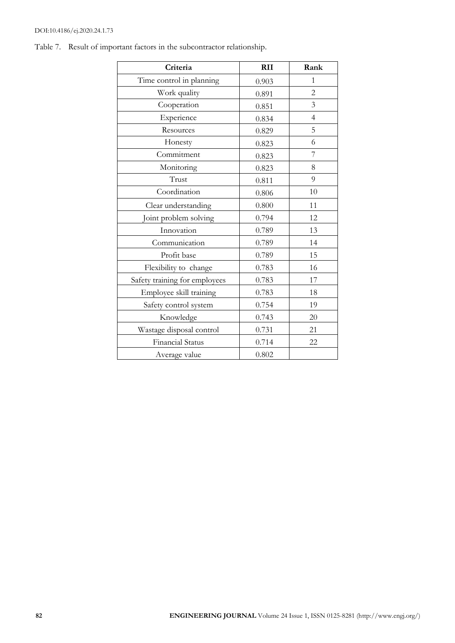## DOI:10.4186/ej.2020.24.1.73

| Criteria                      | <b>RII</b> | Rank           |
|-------------------------------|------------|----------------|
| Time control in planning      | 0.903      | $\mathbf{1}$   |
| Work quality                  | 0.891      | $\overline{2}$ |
| Cooperation                   | 0.851      | 3              |
| Experience                    | 0.834      | $\overline{4}$ |
| Resources                     | 0.829      | 5              |
| Honesty                       | 0.823      | 6              |
| Commitment                    | 0.823      | 7              |
| Monitoring                    | 0.823      | 8              |
| Trust                         | 0.811      | 9              |
| Coordination                  | 0.806      | 10             |
| Clear understanding           | 0.800      | 11             |
| Joint problem solving         | 0.794      | 12             |
| Innovation                    | 0.789      | 13             |
| Communication                 | 0.789      | 14             |
| Profit base                   | 0.789      | 15             |
| Flexibility to change         | 0.783      | 16             |
| Safety training for employees | 0.783      | 17             |
| Employee skill training       | 0.783      | 18             |
| Safety control system         | 0.754      | 19             |
| Knowledge                     | 0.743      | 20             |
| Wastage disposal control      | 0.731      | 21             |
| <b>Financial Status</b>       | 0.714      | 22             |
| Average value                 | 0.802      |                |

Table 7. Result of important factors in the subcontractor relationship.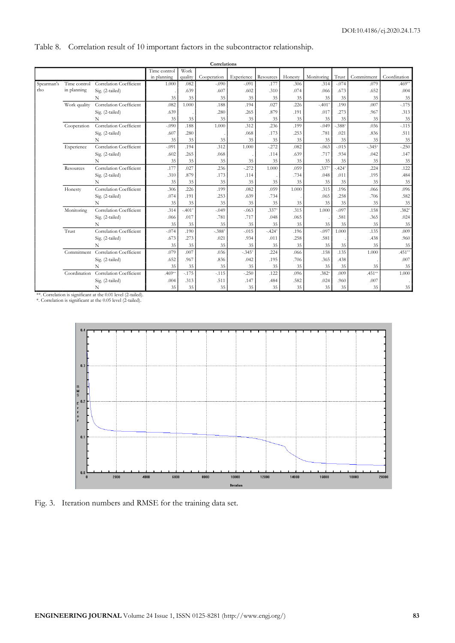# Table 8. Correlation result of 10 important factors in the subcontractor relationship.

|            |              |                                |              |          | Correlations |            |           |         |            |          |            |              |
|------------|--------------|--------------------------------|--------------|----------|--------------|------------|-----------|---------|------------|----------|------------|--------------|
|            |              |                                | Time control | Work     |              |            |           |         |            |          |            |              |
|            |              |                                | in planning  | quality  | Cooperation  | Experience | Resources | Honesty | Monitoring | Trust    | Commitment | Coordination |
| Spearman's | Time control | <b>Correlation Coefficient</b> | 1.000        | .082     | $-.090$      | $-.091$    | .177      | .306    | .314       | $-.074$  | .079       | $.469**$     |
| rho        | in planning  | Sig. (2-tailed)                |              | .639     | .607         | .602       | .310      | .074    | .066       | .673     | .652       | .004         |
|            |              | N                              | 35           | 35       | 35           | 35         | 35        | 35      | 35         | 35       | 35         | 35           |
|            | Work quality | Correlation Coefficient        | .082         | 1.000    | .188         | .194       | .027      | .226    | $-.401*$   | .190     | .007       | $-175$       |
|            |              | Sig. (2-tailed)                | .639         |          | .280         | .265       | .879      | .191    | .017       | .273     | .967       | .313         |
|            |              | N                              | 35           | 35       | 35           | 35         | 35        | 35      | 35         | 35       | 35         | 35           |
|            | Cooperation  | Correlation Coefficient        | $-.090$      | .188     | 1.000        | .312       | .236      | .199    | $-.049$    | $-.388*$ | .036       | $-.115$      |
|            |              | Sig. (2-tailed)                | .607         | .280     |              | .068       | .173      | .253    | .781       | .021     | .836       | .511         |
|            |              | N                              | 35           | 35       | 35           | 35         | 35        | 35      | 35         | 35       | 35         | 35           |
|            | Experience   | Correlation Coefficient        | $-.091$      | .194     | .312         | 1.000      | $-272$    | .082    | $-.063$    | $-.015$  | $-.345*$   | $-250$       |
|            |              | Sig. (2-tailed)                | .602         | .265     | .068         |            | .114      | .639    | .717       | .934     | .042       | .147         |
|            |              | N                              | 35           | 35       | 35           | 35         | 35        | 35      | 35         | 35       | 35         | 35           |
|            | Resources    | Correlation Coefficient        | .177         | .027     | .236         | $-.272$    | 1.000     | .059    | .337       | $-.424*$ | .224       | .122         |
|            |              | Sig. (2-tailed)                | .310         | .879     | .173         | .114       |           | .734    | .048       | .011     | .195       | .484         |
|            |              | N                              | 35           | 35       | 35           | 35         | 35        | 35      | 35         | 35       | 35         | 35           |
|            | Honesty      | Correlation Coefficient        | .306         | .226     | .199         | .082       | .059      | 1.000   | .315       | .196     | .066       | .096         |
|            |              | Sig. (2-tailed)                | .074         | .191     | .253         | .639       | .734      |         | .065       | .258     | .706       | .582         |
|            |              | N                              | 35           | 35       | 35           | 35         | 35        | 35      | 35         | 35       | 35         | 35           |
|            | Monitoring   | Correlation Coefficient        | .314         | $-.401*$ | $-.049$      | $-.063$    | $.337*$   | .315    | 1.000      | $-.097$  | .158       | $.382*$      |
|            |              | Sig. (2-tailed)                | .066         | .017     | .781         | .717       | .048      | .065    |            | .581     | .365       | .024         |
|            |              | N                              | 35           | 35       | 35           | 35         | 35        | 35      | 35         | 35       | 35         | 35           |
|            | Trust        | Correlation Coefficient        | $-.074$      | .190     | $-.388*$     | $-.015$    | $-.424*$  | .196    | $-.097$    | 1.000    | .135       | .009         |
|            |              | Sig. (2-tailed)                | .673         | .273     | .021         | .934       | .011      | .258    | .581       |          | .438       | .960         |
|            |              | N                              | 35           | 35       | 35           | 35         | 35        | 35      | 35         | 35       | 35         | 35           |
|            | Commitment   | Correlation Coefficient        | .079         | .007     | .036         | $-.345*$   | .224      | .066    | .158       | .135     | 1.000      | $.451**$     |
|            |              | Sig. (2-tailed)                | .652         | .967     | .836         | .042       | .195      | .706    | .365       | .438     |            | .007         |
|            |              | N                              | 35           | 35       | 35           | 35         | 35        | 35      | 35         | 35       | 35         | 35           |
|            | Coordination | Correlation Coefficient        | $.469**$     | $-.175$  | $-.115$      | $-.250$    | .122      | .096    | $.382*$    | .009     | $.451**$   | 1.000        |
|            |              | Sig. (2-tailed)                | .004         | .313     | .511         | .147       | .484      | .582    | .024       | .960     | .007       |              |
|            |              | N                              | 35           | 35       | 35           | 35         | 35        | 35      | 35         | 35       | 35         | 35           |

\*\*. Correlation is significant at the 0.01 level (2-tailed). \*. Correlation is significant at the 0.05 level (2-tailed).



Fig. 3. Iteration numbers and RMSE for the training data set.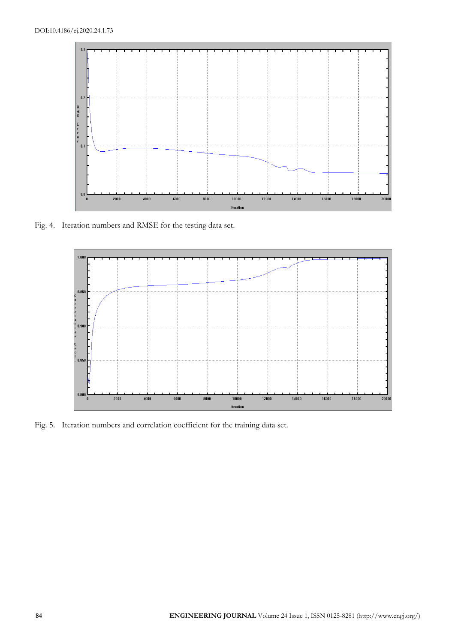

Fig. 4. Iteration numbers and RMSE for the testing data set.



Fig. 5. Iteration numbers and correlation coefficient for the training data set.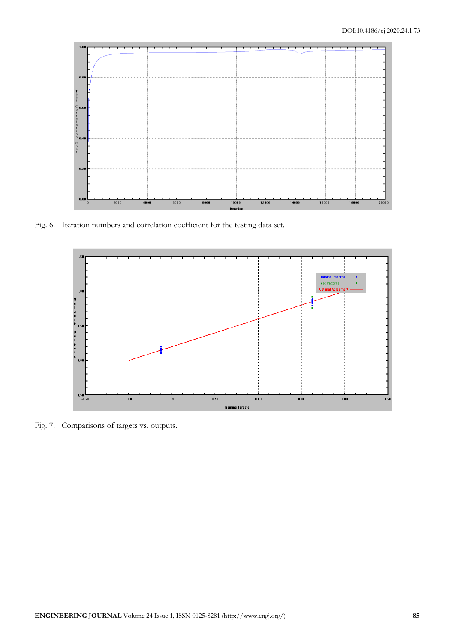

Fig. 6. Iteration numbers and correlation coefficient for the testing data set.



Fig. 7. Comparisons of targets vs. outputs.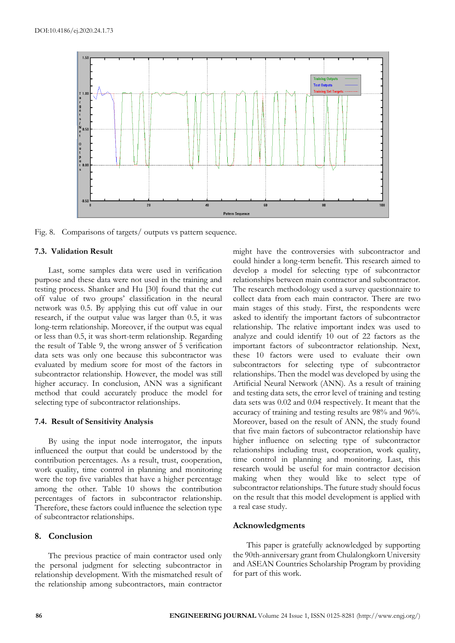

Fig. 8. Comparisons of targets/ outputs vs pattern sequence.

## **7.3. Validation Result**

Last, some samples data were used in verification purpose and these data were not used in the training and testing process. Shanker and Hu [30] found that the cut off value of two groups' classification in the neural network was 0.5. By applying this cut off value in our research, if the output value was larger than 0.5, it was long-term relationship. Moreover, if the output was equal or less than 0.5, it was short-term relationship. Regarding the result of Table 9, the wrong answer of 5 verification data sets was only one because this subcontractor was evaluated by medium score for most of the factors in subcontractor relationship. However, the model was still higher accuracy. In conclusion, ANN was a significant method that could accurately produce the model for selecting type of subcontractor relationships.

#### **7.4. Result of Sensitivity Analysis**

By using the input node interrogator, the inputs influenced the output that could be understood by the contribution percentages. As a result, trust, cooperation, work quality, time control in planning and monitoring were the top five variables that have a higher percentage among the other. Table 10 shows the contribution percentages of factors in subcontractor relationship. Therefore, these factors could influence the selection type of subcontractor relationships.

## **8. Conclusion**

The previous practice of main contractor used only the personal judgment for selecting subcontractor in relationship development. With the mismatched result of the relationship among subcontractors, main contractor might have the controversies with subcontractor and could hinder a long-term benefit. This research aimed to develop a model for selecting type of subcontractor relationships between main contractor and subcontractor. The research methodology used a survey questionnaire to collect data from each main contractor. There are two main stages of this study. First, the respondents were asked to identify the important factors of subcontractor relationship. The relative important index was used to analyze and could identify 10 out of 22 factors as the important factors of subcontractor relationship. Next, these 10 factors were used to evaluate their own subcontractors for selecting type of subcontractor relationships. Then the model was developed by using the Artificial Neural Network (ANN). As a result of training and testing data sets, the error level of training and testing data sets was 0.02 and 0.04 respectively. It meant that the accuracy of training and testing results are 98% and 96%. Moreover, based on the result of ANN, the study found that five main factors of subcontractor relationship have higher influence on selecting type of subcontractor relationships including trust, cooperation, work quality, time control in planning and monitoring. Last, this research would be useful for main contractor decision making when they would like to select type of subcontractor relationships. The future study should focus on the result that this model development is applied with a real case study.

### **Acknowledgments**

This paper is gratefully acknowledged by supporting the 90th-anniversary grant from Chulalongkorn University and ASEAN Countries Scholarship Program by providing for part of this work.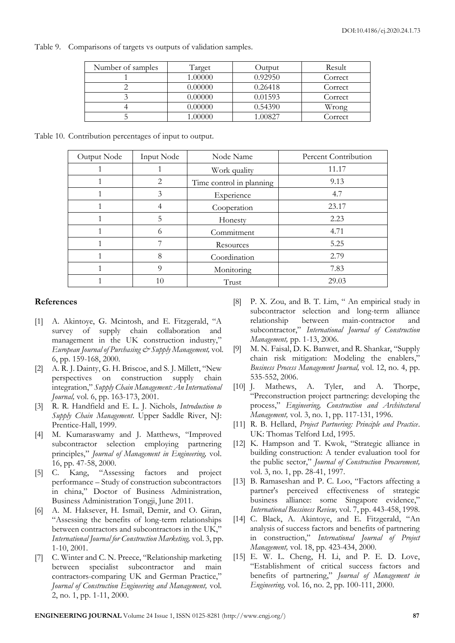Table 9. Comparisons of targets vs outputs of validation samples.

| Number of samples | Target  | Output  | Result  |
|-------------------|---------|---------|---------|
|                   | 1.00000 | 0.92950 | Correct |
|                   | 0.00000 | 0.26418 | Correct |
|                   | 0.00000 | 0.01593 | Correct |
|                   | 0.00000 | 0.54390 | Wrong   |
|                   | ,00000  | 1.00827 | Correct |

Table 10. Contribution percentages of input to output.

| Output Node | Input Node     | Node Name                | Percent Contribution |
|-------------|----------------|--------------------------|----------------------|
|             |                | Work quality             | 11.17                |
|             | $\overline{2}$ | Time control in planning | 9.13                 |
|             | 3              | Experience               | 4.7                  |
|             |                | Cooperation              | 23.17                |
|             | 5              | Honesty                  | 2.23                 |
|             | 6              | Commitment               | 4.71                 |
|             |                | Resources                | 5.25                 |
|             | 8              | Coordination             | 2.79                 |
|             | 9              | Monitoring               | 7.83                 |
|             | 10             | Trust                    | 29.03                |

# **References**

- [1] A. Akintoye, G. Mcintosh, and E. Fitzgerald, "A survey of supply chain collaboration and management in the UK construction industry," *European Journal of Purchasing & Supply Management,* vol. 6, pp. 159-168, 2000.
- [2] A. R. J. Dainty, G. H. Briscoe, and S. J. Millett, "New perspectives on construction supply chain integration," *Supply Chain Management: An International Journal*, vol. 6, pp. 163-173, 2001.
- [3] R. R. Handfield and E. L. J. Nichols, *Introduction to Supply Chain Management*. Upper Saddle River, NJ: Prentice-Hall, 1999.
- [4] M. Kumaraswamy and J. Matthews, "Improved subcontractor selection employing partnering principles," *Journal of Management in Engineering,* vol. 16, pp. 47-58, 2000.
- [5] C. Kang, "Assessing factors and project performance – Study of construction subcontractors in china," Doctor of Business Administration, Business Administration Tongji, June 2011.
- [6] A. M. Haksever, H. Ismail, Demir, and O. Giran, "Assessing the benefits of long-term relationships between contractors and subcontractors in the UK," *International Journal for Construction Marketing,* vol. 3, pp. 1-10, 2001.
- [7] C. Winter and C. N. Preece, "Relationship marketing between specialist subcontractor and main contractors-comparing UK and German Practice," *Journal of Construction Engineering and Management,* vol. 2, no. 1, pp. 1-11, 2000.
- [8] P. X. Zou, and B. T. Lim, " An empirical study in subcontractor selection and long-term alliance relationship between main-contractor and subcontractor," *International Journal of Construction Management,* pp. 1-13, 2006.
- [9] M. N. Faisal, D. K. Banwet, and R. Shankar, "Supply chain risk mitigation: Modeling the enablers," *Business Process Management Journal,* vol. 12, no. 4, pp. 535-552, 2006.
- [10] J. Mathews, A. Tyler, and A. Thorpe, "Preconstruction project partnering: developing the process," *Engineering, Construction and Architectural Management,* vol. 3, no. 1, pp. 117-131, 1996.
- [11] R. B. Hellard, *Project Partnering: Principle and Practice*. UK: Thomas Telford Ltd, 1995.
- [12] K. Hampson and T. Kwok, "Strategic alliance in building construction: A tender evaluation tool for the public sector," *Journal of Construction Procurement,*  vol. 3, no. 1, pp. 28-41, 1997.
- [13] B. Ramaseshan and P. C. Loo, "Factors affecting a partner's perceived effectiveness of strategic business alliance: some Singapore evidence," *International Bussiness Review,* vol. 7, pp. 443-458, 1998.
- [14] C. Black, A. Akintoye, and E. Fitzgerald, "An analysis of success factors and benefits of partnering in construction," *International Journal of Project Management,* vol. 18, pp. 423-434, 2000.
- [15] E. W. L. Cheng, H. Li, and P. E. D. Love, "Establishment of critical success factors and benefits of partnering," *Journal of Management in Engineering,* vol. 16, no. 2, pp. 100-111, 2000.